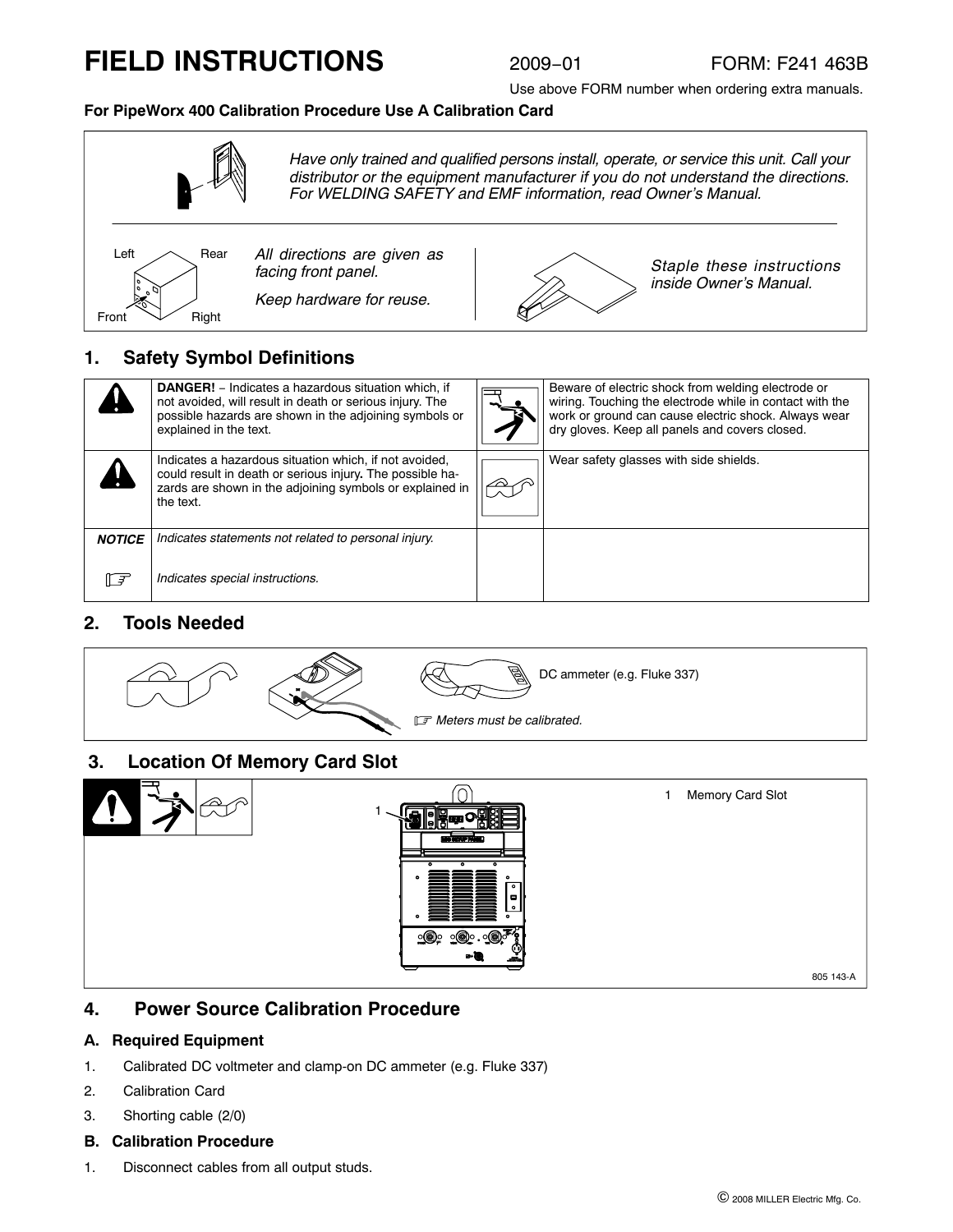# **FIELD INSTRUCTIONS**

Use above FORM number when ordering extra manuals.

#### **For PipeWorx 400 Calibration Procedure Use A Calibration Card**



|               | <b>DANGER!</b> – Indicates a hazardous situation which, if<br>not avoided, will result in death or serious injury. The<br>possible hazards are shown in the adjoining symbols or<br>explained in the text. | Beware of electric shock from welding electrode or<br>wiring. Touching the electrode while in contact with the<br>work or ground can cause electric shock. Always wear<br>dry gloves. Keep all panels and covers closed. |
|---------------|------------------------------------------------------------------------------------------------------------------------------------------------------------------------------------------------------------|--------------------------------------------------------------------------------------------------------------------------------------------------------------------------------------------------------------------------|
|               | Indicates a hazardous situation which, if not avoided,<br>could result in death or serious injury. The possible ha-<br>zards are shown in the adjoining symbols or explained in<br>the text.               | Wear safety glasses with side shields.                                                                                                                                                                                   |
| <b>NOTICE</b> | Indicates statements not related to personal injury.                                                                                                                                                       |                                                                                                                                                                                                                          |
| ll ₹          | Indicates special instructions.                                                                                                                                                                            |                                                                                                                                                                                                                          |

## **2. Tools Needed**



### **3. Location Of Memory Card Slot**



### **4. Power Source Calibration Procedure**

#### **A. Required Equipment**

- 1. Calibrated DC voltmeter and clamp-on DC ammeter (e.g. Fluke 337)
- 2. Calibration Card
- 3. Shorting cable (2/0)
- **B. Calibration Procedure**
- 1. Disconnect cables from all output studs.